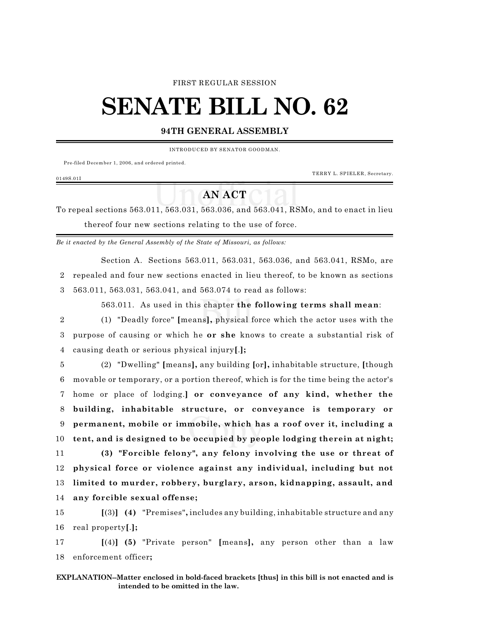#### FIRST REGULAR SESSION

# **SENATE BILL NO. 62**

### **94TH GENERAL ASSEMBLY**

INTRODUCED BY SENATOR GOODMAN.

Pre-filed December 1, 2006, and ordered printed.

TERRY L. SPIELER, Secretary.

#### 0149S.01I

## **AN ACT**

To repeal sections 563.011, 563.031, 563.036, and 563.041, RSMo, and to enact in lieu thereof four new sections relating to the use of force.

*Be it enacted by the General Assembly of the State of Missouri, as follows:*

Section A. Sections 563.011, 563.031, 563.036, and 563.041, RSMo, are 2 repealed and four new sections enacted in lieu thereof, to be known as sections 3 563.011, 563.031, 563.041, and 563.074 to read as follows:

563.011. As used in this chapter **the following terms shall mean**:

2 (1) "Deadly force" **[**means**],** physical force which the actor uses with the 3 purpose of causing or which he **or she** knows to create a substantial risk of 4 causing death or serious physical injury**[**.**];**

 (2) "Dwelling" **[**means**],** any building **[**or**],** inhabitable structure, **[**though movable or temporary, or a portion thereof, which is for the time being the actor's home or place of lodging.**] or conveyance of any kind, whether the building, inhabitable structure, or conveyance is temporary or permanent, mobile or immobile, which has a roof over it, including a tent, and is designed to be occupied by people lodging therein at night; (3) "Forcible felony", any felony involving the use or threat of physical force or violence against any individual, including but not limited to murder, robbery, burglary, arson, kidnapping, assault, and any forcible sexual offense;**

15 **[**(3)**] (4)** "Premises"**,** includes any building, inhabitable structure and any 16 real property**[**.**];**

17 **[**(4)**] (5)** "Private person" **[**means**],** any person other than a law 18 enforcement officer**;**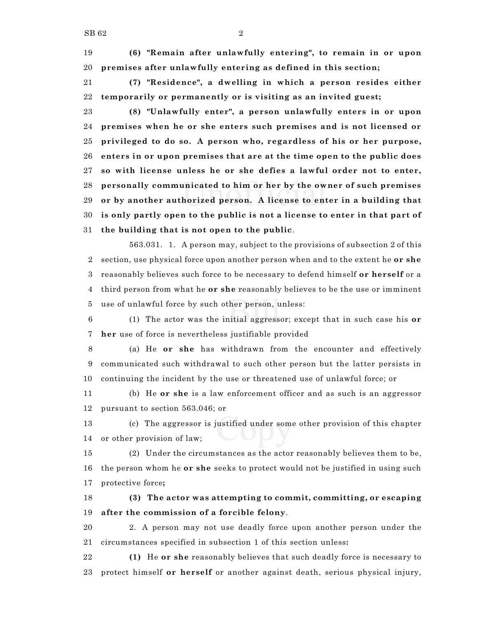**(6) "Remain after unlawfully entering", to remain in or upon premises after unlawfully entering as defined in this section;**

 **(7) "Residence", a dwelling in which a person resides either temporarily or permanently or is visiting as an invited guest;**

 **(8) "Unlawfully enter", a person unlawfully enters in or upon premises when he or she enters such premises and is not licensed or privileged to do so. A person who, regardless of his or her purpose, enters in or upon premises that are at the time open to the public does so with license unless he or she defies a lawful order not to enter, personally communicated to him or her by the owner of such premises or by another authorized person. A license to enter in a building that is only partly open to the public is not a license to enter in that part of the building that is not open to the public**.

563.031. 1. A person may, subject to the provisions of subsection 2 of this section, use physical force upon another person when and to the extent he **or she** reasonably believes such force to be necessary to defend himself **or herself** or a third person from what he **or she** reasonably believes to be the use or imminent use of unlawful force by such other person, unless:

 (1) The actor was the initial aggressor; except that in such case his **or her** use of force is nevertheless justifiable provided

 (a) He **or she** has withdrawn from the encounter and effectively communicated such withdrawal to such other person but the latter persists in continuing the incident by the use or threatened use of unlawful force; or

 (b) He **or she** is a law enforcement officer and as such is an aggressor pursuant to section 563.046; or

 (c) The aggressor is justified under some other provision of this chapter or other provision of law;

 (2) Under the circumstances as the actor reasonably believes them to be, the person whom he **or she** seeks to protect would not be justified in using such protective force**;**

 **(3) The actor was attempting to commit, committing, or escaping after the commission of a forcible felony**.

 2. A person may not use deadly force upon another person under the circumstances specified in subsection 1 of this section unless**:**

 **(1)** He **or she** reasonably believes that such deadly force is necessary to protect himself **or herself** or another against death, serious physical injury,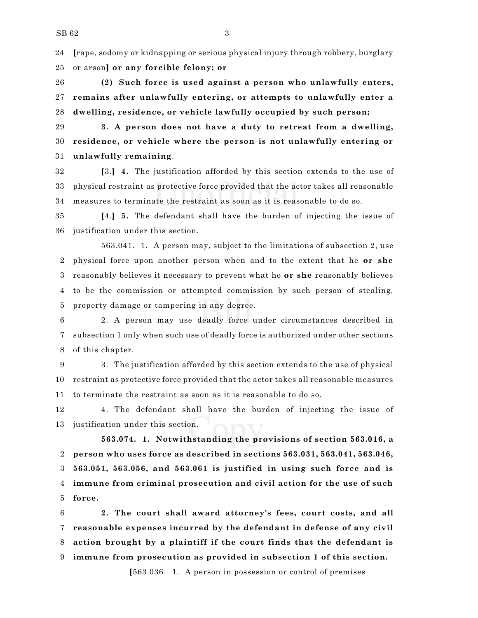**[**rape, sodomy or kidnapping or serious physical injury through robbery, burglary or arson**] or any forcible felony; or**

 **(2) Such force is used against a person who unlawfully enters, remains after unlawfully entering, or attempts to unlawfully enter a dwelling, residence, or vehicle lawfully occupied by such person;**

 **3. A person does not have a duty to retreat from a dwelling, residence, or vehicle where the person is not unlawfully entering or unlawfully remaining**.

 **[**3.**] 4.** The justification afforded by this section extends to the use of physical restraint as protective force provided that the actor takes all reasonable measures to terminate the restraint as soon as it is reasonable to do so.

 **[**4.**] 5.** The defendant shall have the burden of injecting the issue of justification under this section.

563.041. 1. A person may, subject to the limitations of subsection 2, use physical force upon another person when and to the extent that he **or she** reasonably believes it necessary to prevent what he **or she** reasonably believes to be the commission or attempted commission by such person of stealing, property damage or tampering in any degree.

 2. A person may use deadly force under circumstances described in subsection 1 only when such use of deadly force is authorized under other sections of this chapter.

 3. The justification afforded by this section extends to the use of physical restraint as protective force provided that the actor takes all reasonable measures to terminate the restraint as soon as it is reasonable to do so.

 4. The defendant shall have the burden of injecting the issue of justification under this section.

**563.074. 1. Notwithstanding the provisions of section 563.016, a person who uses force as described in sections 563.031, 563.041, 563.046, 563.051, 563.056, and 563.061 is justified in using such force and is immune from criminal prosecution and civil action for the use of such force.**

 **2. The court shall award attorney's fees, court costs, and all reasonable expenses incurred by the defendant in defense of any civil action brought by a plaintiff if the court finds that the defendant is immune from prosecution as provided in subsection 1 of this section.**

**[**563.036. 1. A person in possession or control of premises